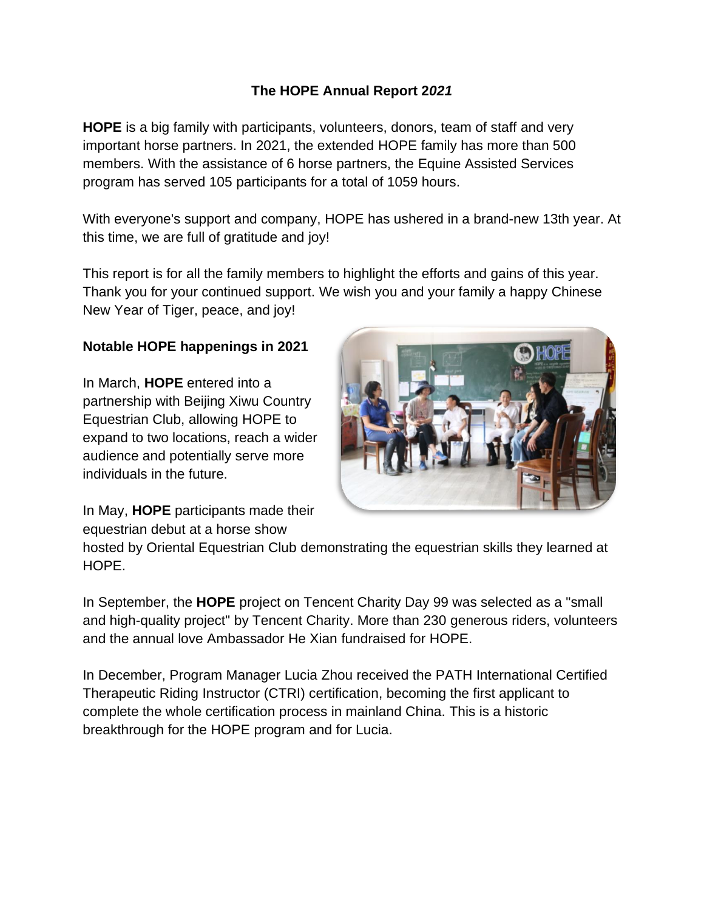# **The HOPE Annual Report 2***021*

**HOPE** is a big family with participants, volunteers, donors, team of staff and very important horse partners. In 2021, the extended HOPE family has more than 500 members. With the assistance of 6 horse partners, the Equine Assisted Services program has served 105 participants for a total of 1059 hours.

With everyone's support and company, HOPE has ushered in a brand-new 13th year. At this time, we are full of gratitude and joy!

This report is for all the family members to highlight the efforts and gains of this year. Thank you for your continued support. We wish you and your family a happy Chinese New Year of Tiger, peace, and joy!

### **Notable HOPE happenings in 2021**

In March, **HOPE** entered into a partnership with Beijing Xiwu Country Equestrian Club, allowing HOPE to expand to two locations, reach a wider audience and potentially serve more individuals in the future.



In May, **HOPE** participants made their equestrian debut at a horse show

hosted by Oriental Equestrian Club demonstrating the equestrian skills they learned at HOPE.

In September, the **HOPE** project on Tencent Charity Day 99 was selected as a "small and high-quality project" by Tencent Charity. More than 230 generous riders, volunteers and the annual love Ambassador He Xian fundraised for HOPE.

In December, Program Manager Lucia Zhou received the PATH International Certified Therapeutic Riding Instructor (CTRI) certification, becoming the first applicant to complete the whole certification process in mainland China. This is a historic breakthrough for the HOPE program and for Lucia.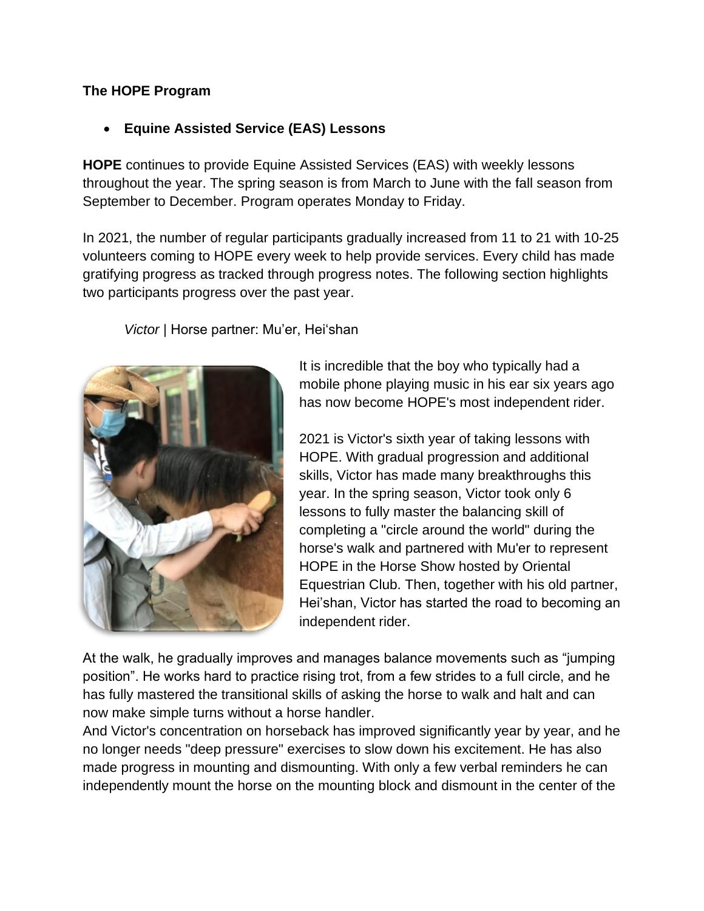### **The HOPE Program**

# • **Equine Assisted Service (EAS) Lessons**

**HOPE** continues to provide Equine Assisted Services (EAS) with weekly lessons throughout the year. The spring season is from March to June with the fall season from September to December. Program operates Monday to Friday.

In 2021, the number of regular participants gradually increased from 11 to 21 with 10-25 volunteers coming to HOPE every week to help provide services. Every child has made gratifying progress as tracked through progress notes. The following section highlights two participants progress over the past year.

*Victor* | Horse partner: Mu'er, Hei'shan



It is incredible that the boy who typically had a mobile phone playing music in his ear six years ago has now become HOPE's most independent rider.

2021 is Victor's sixth year of taking lessons with HOPE. With gradual progression and additional skills, Victor has made many breakthroughs this year. In the spring season, Victor took only 6 lessons to fully master the balancing skill of completing a "circle around the world" during the horse's walk and partnered with Mu'er to represent HOPE in the Horse Show hosted by Oriental Equestrian Club. Then, together with his old partner, Hei'shan, Victor has started the road to becoming an independent rider.

At the walk, he gradually improves and manages balance movements such as "jumping position". He works hard to practice rising trot, from a few strides to a full circle, and he has fully mastered the transitional skills of asking the horse to walk and halt and can now make simple turns without a horse handler.

And Victor's concentration on horseback has improved significantly year by year, and he no longer needs "deep pressure" exercises to slow down his excitement. He has also made progress in mounting and dismounting. With only a few verbal reminders he can independently mount the horse on the mounting block and dismount in the center of the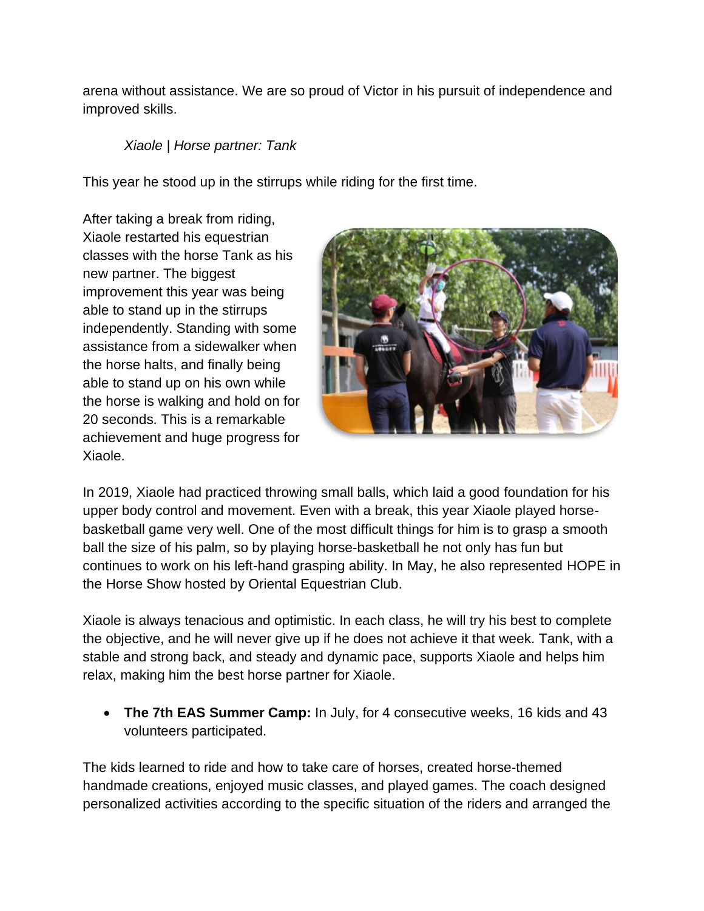arena without assistance. We are so proud of Victor in his pursuit of independence and improved skills.

# *Xiaole | Horse partner: Tank*

This year he stood up in the stirrups while riding for the first time.

After taking a break from riding, Xiaole restarted his equestrian classes with the horse Tank as his new partner. The biggest improvement this year was being able to stand up in the stirrups independently. Standing with some assistance from a sidewalker when the horse halts, and finally being able to stand up on his own while the horse is walking and hold on for 20 seconds. This is a remarkable achievement and huge progress for Xiaole.



In 2019, Xiaole had practiced throwing small balls, which laid a good foundation for his upper body control and movement. Even with a break, this year Xiaole played horsebasketball game very well. One of the most difficult things for him is to grasp a smooth ball the size of his palm, so by playing horse-basketball he not only has fun but continues to work on his left-hand grasping ability. In May, he also represented HOPE in the Horse Show hosted by Oriental Equestrian Club.

Xiaole is always tenacious and optimistic. In each class, he will try his best to complete the objective, and he will never give up if he does not achieve it that week. Tank, with a stable and strong back, and steady and dynamic pace, supports Xiaole and helps him relax, making him the best horse partner for Xiaole.

• **The 7th EAS Summer Camp:** In July, for 4 consecutive weeks, 16 kids and 43 volunteers participated.

The kids learned to ride and how to take care of horses, created horse-themed handmade creations, enjoyed music classes, and played games. The coach designed personalized activities according to the specific situation of the riders and arranged the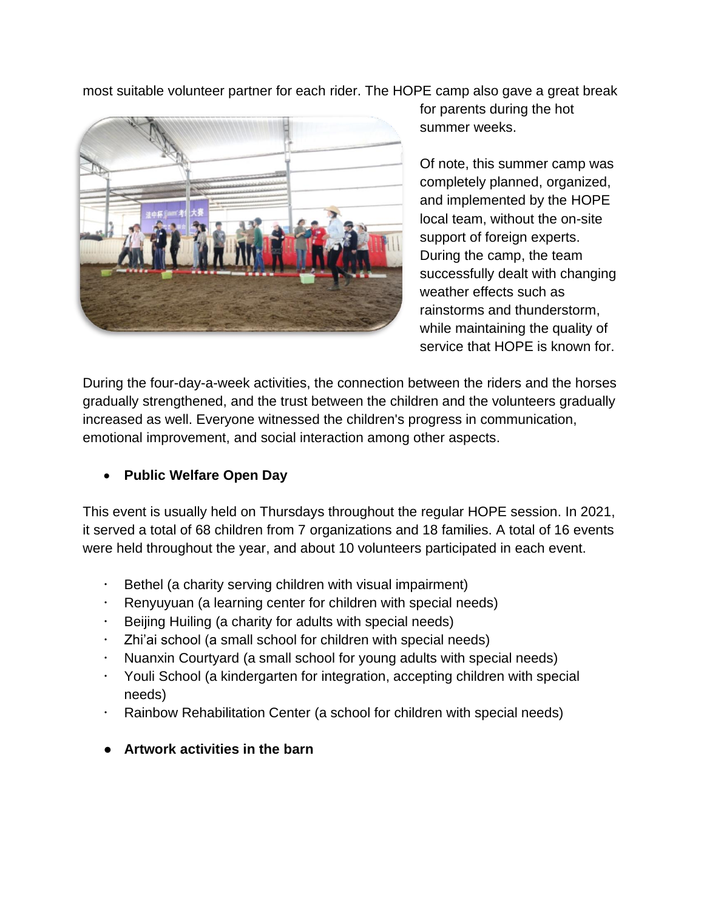most suitable volunteer partner for each rider. The HOPE camp also gave a great break



for parents during the hot summer weeks.

Of note, this summer camp was completely planned, organized, and implemented by the HOPE local team, without the on-site support of foreign experts. During the camp, the team successfully dealt with changing weather effects such as rainstorms and thunderstorm, while maintaining the quality of service that HOPE is known for.

During the four-day-a-week activities, the connection between the riders and the horses gradually strengthened, and the trust between the children and the volunteers gradually increased as well. Everyone witnessed the children's progress in communication, emotional improvement, and social interaction among other aspects.

# • **Public Welfare Open Day**

This event is usually held on Thursdays throughout the regular HOPE session. In 2021, it served a total of 68 children from 7 organizations and 18 families. A total of 16 events were held throughout the year, and about 10 volunteers participated in each event.

- Bethel (a charity serving children with visual impairment)
- $\cdot$  Renyuyuan (a learning center for children with special needs)
- $\cdot$  Beijing Huiling (a charity for adults with special needs)
- Zhi'ai school (a small school for children with special needs)
- Nuanxin Courtyard (a small school for young adults with special needs)
- Youli School (a kindergarten for integration, accepting children with special needs)
- Rainbow Rehabilitation Center (a school for children with special needs)
- **Artwork activities in the barn**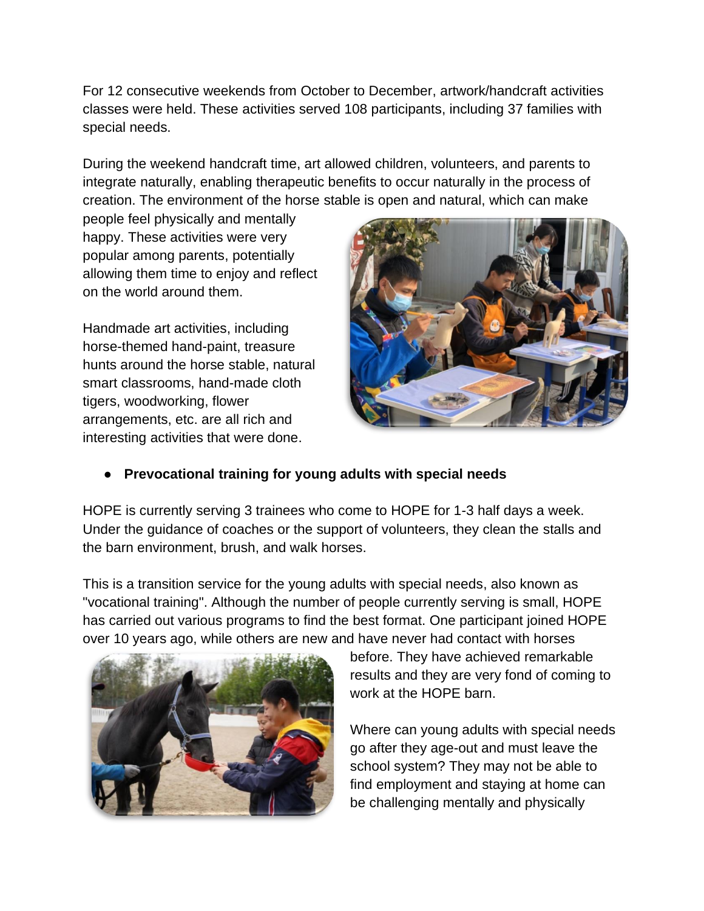For 12 consecutive weekends from October to December, artwork/handcraft activities classes were held. These activities served 108 participants, including 37 families with special needs.

During the weekend handcraft time, art allowed children, volunteers, and parents to integrate naturally, enabling therapeutic benefits to occur naturally in the process of creation. The environment of the horse stable is open and natural, which can make

people feel physically and mentally happy. These activities were very popular among parents, potentially allowing them time to enjoy and reflect on the world around them.

Handmade art activities, including horse-themed hand-paint, treasure hunts around the horse stable, natural smart classrooms, hand-made cloth tigers, woodworking, flower arrangements, etc. are all rich and interesting activities that were done.



### ● **Prevocational training for young adults with special needs**

HOPE is currently serving 3 trainees who come to HOPE for 1-3 half days a week. Under the guidance of coaches or the support of volunteers, they clean the stalls and the barn environment, brush, and walk horses.

This is a transition service for the young adults with special needs, also known as "vocational training". Although the number of people currently serving is small, HOPE has carried out various programs to find the best format. One participant joined HOPE over 10 years ago, while others are new and have never had contact with horses



before. They have achieved remarkable results and they are very fond of coming to work at the HOPE barn.

Where can young adults with special needs go after they age-out and must leave the school system? They may not be able to find employment and staying at home can be challenging mentally and physically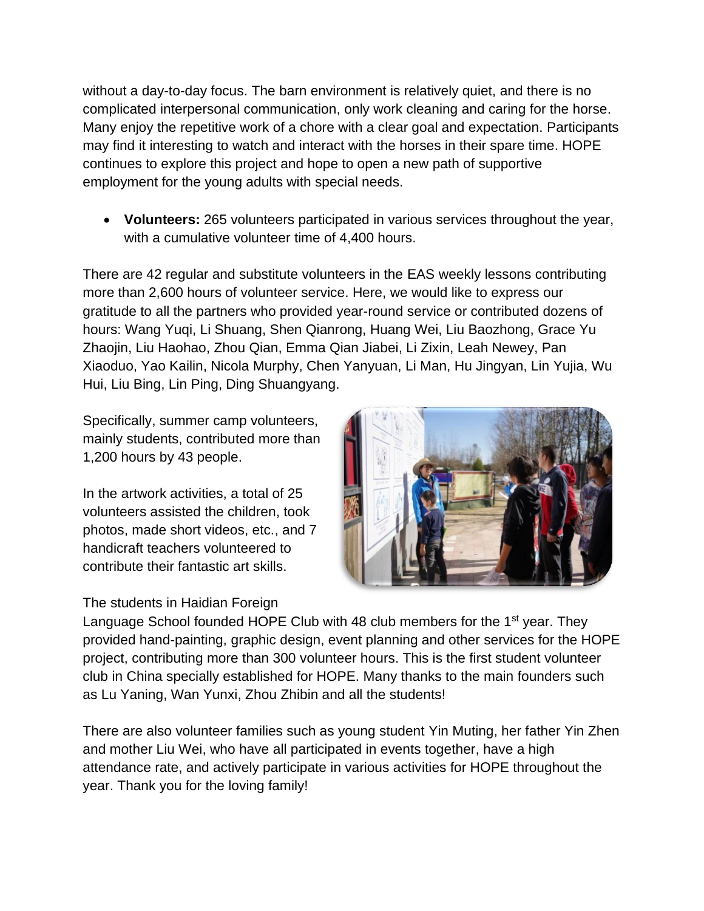without a day-to-day focus. The barn environment is relatively quiet, and there is no complicated interpersonal communication, only work cleaning and caring for the horse. Many enjoy the repetitive work of a chore with a clear goal and expectation. Participants may find it interesting to watch and interact with the horses in their spare time. HOPE continues to explore this project and hope to open a new path of supportive employment for the young adults with special needs.

• **Volunteers:** 265 volunteers participated in various services throughout the year, with a cumulative volunteer time of 4,400 hours.

There are 42 regular and substitute volunteers in the EAS weekly lessons contributing more than 2,600 hours of volunteer service. Here, we would like to express our gratitude to all the partners who provided year-round service or contributed dozens of hours: Wang Yuqi, Li Shuang, Shen Qianrong, Huang Wei, Liu Baozhong, Grace Yu Zhaojin, Liu Haohao, Zhou Qian, Emma Qian Jiabei, Li Zixin, Leah Newey, Pan Xiaoduo, Yao Kailin, Nicola Murphy, Chen Yanyuan, Li Man, Hu Jingyan, Lin Yujia, Wu Hui, Liu Bing, Lin Ping, Ding Shuangyang.

Specifically, summer camp volunteers, mainly students, contributed more than 1,200 hours by 43 people.

In the artwork activities, a total of 25 volunteers assisted the children, took photos, made short videos, etc., and 7 handicraft teachers volunteered to contribute their fantastic art skills.

# The students in Haidian Foreign



Language School founded HOPE Club with 48 club members for the  $1<sup>st</sup>$  year. They provided hand-painting, graphic design, event planning and other services for the HOPE project, contributing more than 300 volunteer hours. This is the first student volunteer club in China specially established for HOPE. Many thanks to the main founders such as Lu Yaning, Wan Yunxi, Zhou Zhibin and all the students!

There are also volunteer families such as young student Yin Muting, her father Yin Zhen and mother Liu Wei, who have all participated in events together, have a high attendance rate, and actively participate in various activities for HOPE throughout the year. Thank you for the loving family[!](https://www.globalgiving.org/projects/support-therapeutic-riding-for-disabled-in-china/updates/?subid=187163&rf=progrept45881)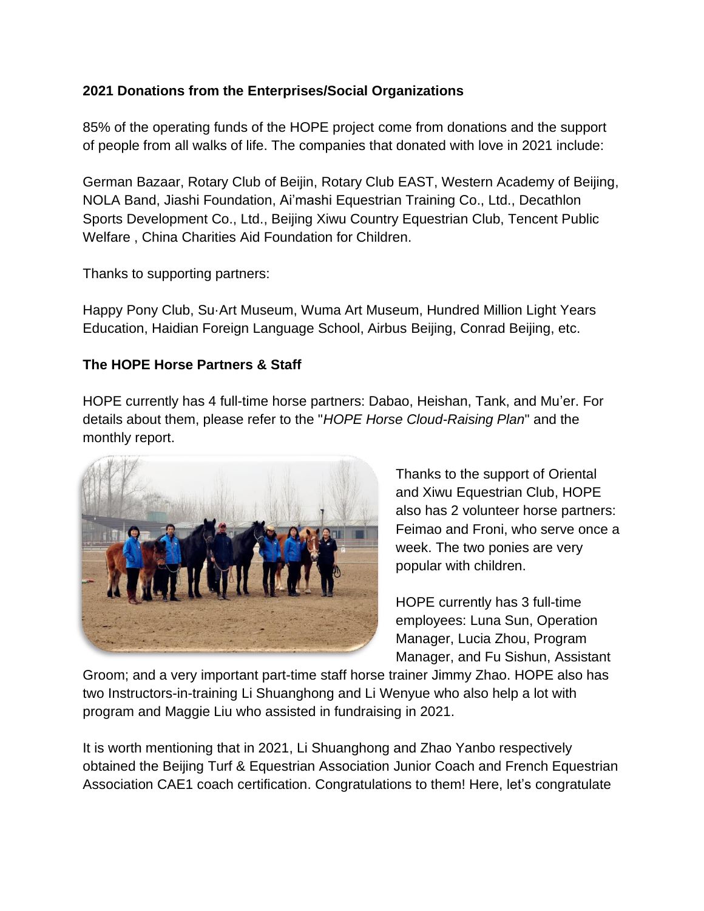# **2021 Donations from the Enterprises/Social Organizations**

85% of the operating funds of the HOPE project come from donations and the support of people from all walks of life. The companies that donated with love in 2021 include:

German Bazaar, Rotary Club of Beijin, Rotary Club EAST, Western Academy of Beijing, NOLA Band, Jiashi Foundation, Ai'mashi Equestrian Training Co., Ltd., Decathlon Sports Development Co., Ltd., Beijing Xiwu Country Equestrian Club, Tencent Public Welfare , China Charities Aid Foundation for Children.

Thanks to supporting partners:

Happy Pony Club, Su·Art Museum, Wuma Art Museum, Hundred Million Light Years Education, Haidian Foreign Language School, Airbus Beijing, Conrad Beijing, etc.

# **The HOPE Horse Partners & Staff**

HOPE currently has 4 full-time horse partners: Dabao, Heishan, Tank, and Mu'er. For details about them, please refer to the "*HOPE Horse Cloud-Raising Plan*" and the monthly report.



Thanks to the support of Oriental and Xiwu Equestrian Club, HOPE also has 2 volunteer horse partners: Feimao and Froni, who serve once a week. The two ponies are very popular with children.

HOPE currently has 3 full-time employees: Luna Sun, Operation Manager, Lucia Zhou, Program Manager, and Fu Sishun, Assistant

Groom; and a very important part-time staff horse trainer Jimmy Zhao. HOPE also has two Instructors-in-training Li Shuanghong and Li Wenyue who also help a lot with program and Maggie Liu who assisted in fundraising in 2021.

It is worth mentioning that in 2021, Li Shuanghong and Zhao Yanbo respectively obtained the Beijing Turf & Equestrian Association Junior Coach and French Equestrian Association CAE1 coach certification. Congratulations to them! Here, let's congratulate